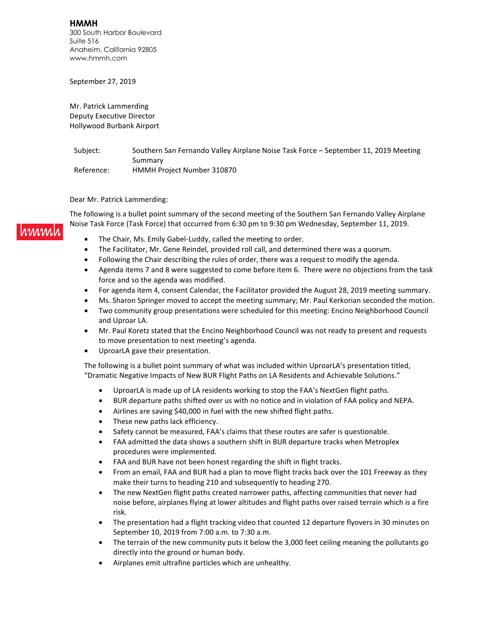**HMMH** 300 South Harbor Boulevard Suite 516 Anaheim, California 92805 www.hmmh.com

September 27, 2019

Mr. Patrick Lammerding Deputy Executive Director Hollywood Burbank Airport

Subject: Southern San Fernando Valley Airplane Noise Task Force - September 11, 2019 Meeting Summary Reference: HMMH Project Number 310870

Dear Mr. Patrick Lammerding:

The following is a bullet point summary of the second meeting of the Southern San Fernando Valley Airplane Noise Task Force (Task Force) that occurred from 6:30 pm to 9:30 pm Wednesday, September 11, 2019.

- The Chair, Ms. Emily Gabel-Luddy, called the meeting to order.
- The Facilitator, Mr. Gene Reindel, provided roll call, and determined there was a quorum.
- Following the Chair describing the rules of order, there was a request to modify the agenda.
- Agenda items 7 and 8 were suggested to come before item 6. There were no objections from the task force and so the agenda was modified.
- For agenda item 4, consent Calendar, the Facilitator provided the August 28, 2019 meeting summary.
- Ms. Sharon Springer moved to accept the meeting summary; Mr. Paul Kerkorian seconded the motion.
- Two community group presentations were scheduled for this meeting: Encino Neighborhood Council and Uproar LA.
- Mr. Paul Koretz stated that the Encino Neighborhood Council was not ready to present and requests to move presentation to next meeting's agenda.
- UproarLA gave their presentation.

The following is a bullet point summary of what was included within UproarLA's presentation titled, "Dramatic Negative Impacts of New BUR Flight Paths on LA Residents and Achievable Solutions."

- UproarLA is made up of LA residents working to stop the FAA's NextGen flight paths.
- BUR departure paths shifted over us with no notice and in violation of FAA policy and NEPA.
- Airlines are saving \$40,000 in fuel with the new shifted flight paths.
- These new paths lack efficiency.
- Safety cannot be measured, FAA's claims that these routes are safer is questionable.
- FAA admitted the data shows a southern shift in BUR departure tracks when Metroplex procedures were implemented.
- FAA and BUR have not been honest regarding the shift in flight tracks.
- From an email, FAA and BUR had a plan to move flight tracks back over the 101 Freeway as they make their turns to heading 210 and subsequently to heading 270.
- The new NextGen flight paths created narrower paths, affecting communities that never had noise before, airplanes flying at lower altitudes and flight paths over raised terrain which is a fire risk.
- The presentation had a flight tracking video that counted 12 departure flyovers in 30 minutes on September 10, 2019 from 7:00 a.m. to 7:30 a.m.
- The terrain of the new community puts it below the 3,000 feet ceiling meaning the pollutants go directly into the ground or human body.
- Airplanes emit ultrafine particles which are unhealthy.

#### immal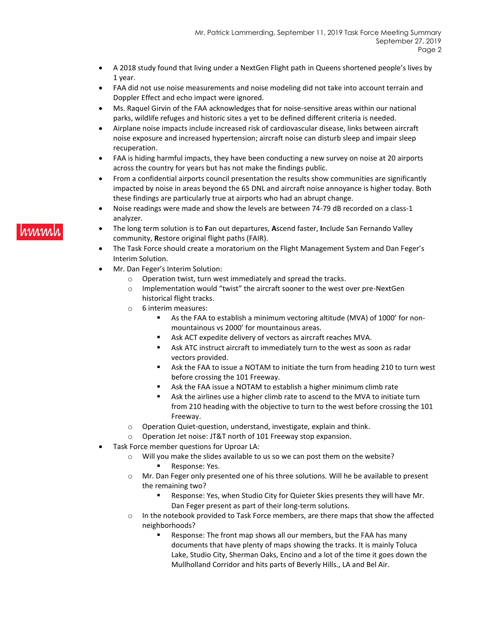- A 2018 study found that living under a NextGen Flight path in Queens shortened people's lives by 1 year.
- FAA did not use noise measurements and noise modeling did not take into account terrain and Doppler Effect and echo impact were ignored.
- Ms. Raquel Girvin of the FAA acknowledges that for noise-sensitive areas within our national parks, wildlife refuges and historic sites a yet to be defined different criteria is needed.
- Airplane noise impacts include increased risk of cardiovascular disease, links between aircraft noise exposure and increased hypertension; aircraft noise can disturb sleep and impair sleep recuperation.
- FAA is hiding harmful impacts, they have been conducting a new survey on noise at 20 airports across the country for years but has not make the findings public.
- From a confidential airports council presentation the results show communities are significantly impacted by noise in areas beyond the 65 DNL and aircraft noise annoyance is higher today. Both these findings are particularly true at airports who had an abrupt change.
- Noise readings were made and show the levels are between 74-79 dB recorded on a class-1 analyzer.
- The long term solution is to **F**an out departures, **A**scend faster, **I**nclude San Fernando Valley community, **R**estore original flight paths (FAIR).
- The Task Force should create a moratorium on the Flight Management System and Dan Feger's Interim Solution.
- Mr. Dan Feger's Interim Solution:
	- o Operation twist, turn west immediately and spread the tracks.
	- o Implementation would "twist" the aircraft sooner to the west over pre-NextGen historical flight tracks.
	- o 6 interim measures:
		- As the FAA to establish a minimum vectoring altitude (MVA) of 1000' for nonmountainous vs 2000' for mountainous areas.
		- Ask ACT expedite delivery of vectors as aircraft reaches MVA.
		- Ask ATC instruct aircraft to immediately turn to the west as soon as radar vectors provided.
		- Ask the FAA to issue a NOTAM to initiate the turn from heading 210 to turn west before crossing the 101 Freeway.
		- Ask the FAA issue a NOTAM to establish a higher minimum climb rate
		- Ask the airlines use a higher climb rate to ascend to the MVA to initiate turn from 210 heading with the objective to turn to the west before crossing the 101 Freeway.
	- o Operation Quiet-question, understand, investigate, explain and think.
	- o Operation Jet noise: JT&T north of 101 Freeway stop expansion.
- Task Force member questions for Uproar LA:
	- o Will you make the slides available to us so we can post them on the website?
		- **Response: Yes.**
	- o Mr. Dan Feger only presented one of his three solutions. Will he be available to present the remaining two?
		- Response: Yes, when Studio City for Quieter Skies presents they will have Mr. Dan Feger present as part of their long-term solutions.
	- $\circ$  In the notebook provided to Task Force members, are there maps that show the affected neighborhoods?
		- Response: The front map shows all our members, but the FAA has many documents that have plenty of maps showing the tracks. It is mainly Toluca Lake, Studio City, Sherman Oaks, Encino and a lot of the time it goes down the Mullholland Corridor and hits parts of Beverly Hills., LA and Bel Air.

# *rmmn*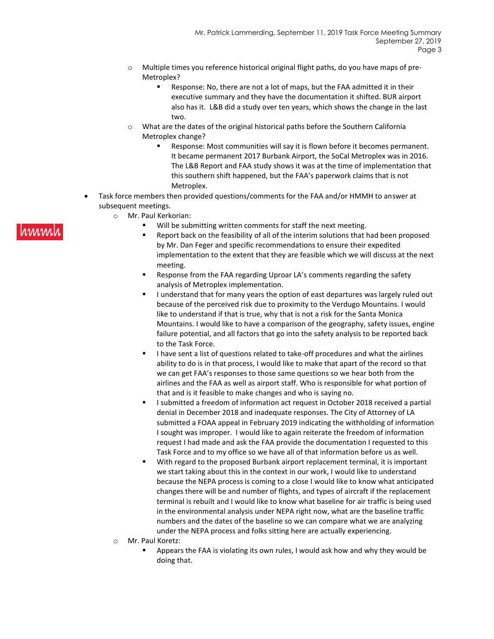- $\circ$  Multiple times you reference historical original flight paths, do you have maps of pre-Metroplex?
	- Response: No, there are not a lot of maps, but the FAA admitted it in their executive summary and they have the documentation it shifted. BUR airport also has it. L&B did a study over ten years, which shows the change in the last two.
- o What are the dates of the original historical paths before the Southern California Metroplex change?
	- Response: Most communities will say it is flown before it becomes permanent. It became permanent 2017 Burbank Airport, the SoCal Metroplex was in 2016. The L&B Report and FAA study shows it was at the time of implementation that this southern shift happened, but the FAA's paperwork claims that is not Metroplex.
- Task force members then provided questions/comments for the FAA and/or HMMH to answer at subsequent meetings.
	- o Mr. Paul Kerkorian:
		- Will be submitting written comments for staff the next meeting.
			- Report back on the feasibility of all of the interim solutions that had been proposed by Mr. Dan Feger and specific recommendations to ensure their expedited implementation to the extent that they are feasible which we will discuss at the next meeting.
		- **Response from the FAA regarding Uproar LA's comments regarding the safety** analysis of Metroplex implementation.
		- I understand that for many years the option of east departures was largely ruled out because of the perceived risk due to proximity to the Verdugo Mountains. I would like to understand if that is true, why that is not a risk for the Santa Monica Mountains. I would like to have a comparison of the geography, safety issues, engine failure potential, and all factors that go into the safety analysis to be reported back to the Task Force.
		- I have sent a list of questions related to take-off procedures and what the airlines ability to do is in that process, I would like to make that apart of the record so that we can get FAA's responses to those same questions so we hear both from the airlines and the FAA as well as airport staff. Who is responsible for what portion of that and is it feasible to make changes and who is saying no.
		- I submitted a freedom of information act request in October 2018 received a partial denial in December 2018 and inadequate responses. The City of Attorney of LA submitted a FOAA appeal in February 2019 indicating the withholding of information I sought was improper. I would like to again reiterate the freedom of information request I had made and ask the FAA provide the documentation I requested to this Task Force and to my office so we have all of that information before us as well.
		- With regard to the proposed Burbank airport replacement terminal, it is important we start taking about this in the context in our work, I would like to understand because the NEPA process is coming to a close I would like to know what anticipated changes there will be and number of flights, and types of aircraft if the replacement terminal is rebuilt and I would like to know what baseline for air traffic is being used in the environmental analysis under NEPA right now, what are the baseline traffic numbers and the dates of the baseline so we can compare what we are analyzing under the NEPA process and folks sitting here are actually experiencing.
	- o Mr. Paul Koretz:
		- Appears the FAA is violating its own rules, I would ask how and why they would be doing that.

## **MMMM**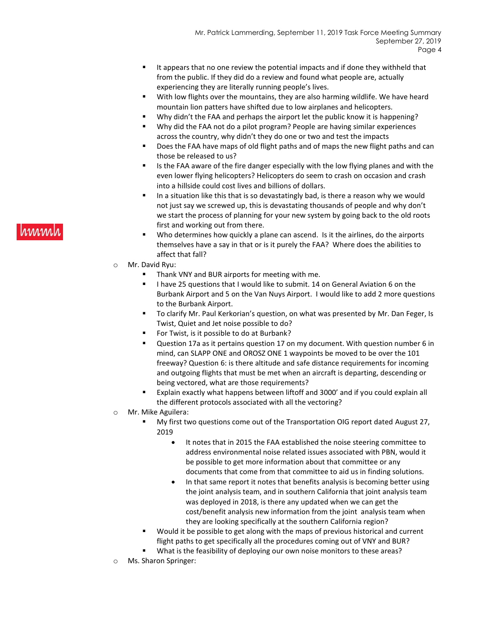- It appears that no one review the potential impacts and if done they withheld that from the public. If they did do a review and found what people are, actually experiencing they are literally running people's lives.
- With low flights over the mountains, they are also harming wildlife. We have heard mountain lion patters have shifted due to low airplanes and helicopters.
- Why didn't the FAA and perhaps the airport let the public know it is happening?
- Why did the FAA not do a pilot program? People are having similar experiences across the country, why didn't they do one or two and test the impacts
- Does the FAA have maps of old flight paths and of maps the new flight paths and can those be released to us?
- Is the FAA aware of the fire danger especially with the low flying planes and with the even lower flying helicopters? Helicopters do seem to crash on occasion and crash into a hillside could cost lives and billions of dollars.
- In a situation like this that is so devastatingly bad, is there a reason why we would not just say we screwed up, this is devastating thousands of people and why don't we start the process of planning for your new system by going back to the old roots first and working out from there.
- Who determines how quickly a plane can ascend. Is it the airlines, do the airports themselves have a say in that or is it purely the FAA? Where does the abilities to affect that fall?
- o Mr. David Ryu:
	- Thank VNY and BUR airports for meeting with me.
	- I have 25 questions that I would like to submit. 14 on General Aviation 6 on the Burbank Airport and 5 on the Van Nuys Airport. I would like to add 2 more questions to the Burbank Airport.
	- To clarify Mr. Paul Kerkorian's question, on what was presented by Mr. Dan Feger, Is Twist, Quiet and Jet noise possible to do?
	- For Twist, is it possible to do at Burbank?
	- Question 17a as it pertains question 17 on my document. With question number 6 in mind, can SLAPP ONE and OROSZ ONE 1 waypoints be moved to be over the 101 freeway? Question 6: is there altitude and safe distance requirements for incoming and outgoing flights that must be met when an aircraft is departing, descending or being vectored, what are those requirements?
	- Explain exactly what happens between liftoff and 3000' and if you could explain all the different protocols associated with all the vectoring?
- o Mr. Mike Aguilera:
	- My first two questions come out of the Transportation OIG report dated August 27, 2019
		- It notes that in 2015 the FAA established the noise steering committee to address environmental noise related issues associated with PBN, would it be possible to get more information about that committee or any documents that come from that committee to aid us in finding solutions.
		- In that same report it notes that benefits analysis is becoming better using the joint analysis team, and in southern California that joint analysis team was deployed in 2018, is there any updated when we can get the cost/benefit analysis new information from the joint analysis team when they are looking specifically at the southern California region?
	- Would it be possible to get along with the maps of previous historical and current flight paths to get specifically all the procedures coming out of VNY and BUR?
	- What is the feasibility of deploying our own noise monitors to these areas?
- o Ms. Sharon Springer:

# **MMMM**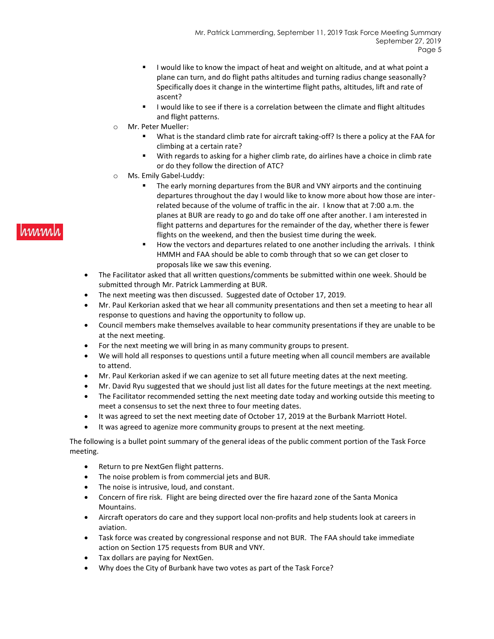- I would like to know the impact of heat and weight on altitude, and at what point a plane can turn, and do flight paths altitudes and turning radius change seasonally? Specifically does it change in the wintertime flight paths, altitudes, lift and rate of ascent?
- I would like to see if there is a correlation between the climate and flight altitudes and flight patterns.
- o Mr. Peter Mueller:
	- What is the standard climb rate for aircraft taking-off? Is there a policy at the FAA for climbing at a certain rate?
	- With regards to asking for a higher climb rate, do airlines have a choice in climb rate or do they follow the direction of ATC?
- o Ms. Emily Gabel-Luddy:
	- The early morning departures from the BUR and VNY airports and the continuing departures throughout the day I would like to know more about how those are interrelated because of the volume of traffic in the air. I know that at 7:00 a.m. the planes at BUR are ready to go and do take off one after another. I am interested in flight patterns and departures for the remainder of the day, whether there is fewer flights on the weekend, and then the busiest time during the week.
	- How the vectors and departures related to one another including the arrivals. I think HMMH and FAA should be able to comb through that so we can get closer to proposals like we saw this evening.
- The Facilitator asked that all written questions/comments be submitted within one week. Should be submitted through Mr. Patrick Lammerding at BUR.
- The next meeting was then discussed. Suggested date of October 17, 2019.
- Mr. Paul Kerkorian asked that we hear all community presentations and then set a meeting to hear all response to questions and having the opportunity to follow up.
- Council members make themselves available to hear community presentations if they are unable to be at the next meeting.
- For the next meeting we will bring in as many community groups to present.
- We will hold all responses to questions until a future meeting when all council members are available to attend.
- Mr. Paul Kerkorian asked if we can agenize to set all future meeting dates at the next meeting.
- Mr. David Ryu suggested that we should just list all dates for the future meetings at the next meeting.
- The Facilitator recommended setting the next meeting date today and working outside this meeting to meet a consensus to set the next three to four meeting dates.
- It was agreed to set the next meeting date of October 17, 2019 at the Burbank Marriott Hotel.
- It was agreed to agenize more community groups to present at the next meeting.

The following is a bullet point summary of the general ideas of the public comment portion of the Task Force meeting.

- Return to pre NextGen flight patterns.
- The noise problem is from commercial jets and BUR.
- The noise is intrusive, loud, and constant.
- Concern of fire risk. Flight are being directed over the fire hazard zone of the Santa Monica Mountains.
- Aircraft operators do care and they support local non-profits and help students look at careers in aviation.
- Task force was created by congressional response and not BUR. The FAA should take immediate action on Section 175 requests from BUR and VNY.
- Tax dollars are paying for NextGen.
- Why does the City of Burbank have two votes as part of the Task Force?

## hmml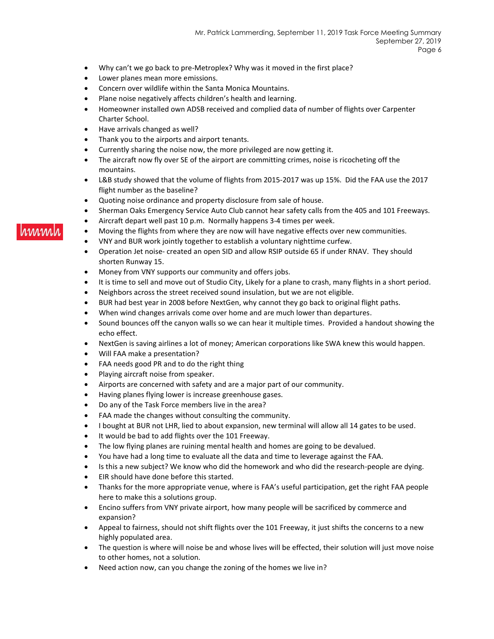- Why can't we go back to pre-Metroplex? Why was it moved in the first place?
- Lower planes mean more emissions.
- Concern over wildlife within the Santa Monica Mountains.
- Plane noise negatively affects children's health and learning.
- Homeowner installed own ADSB received and complied data of number of flights over Carpenter Charter School.
- Have arrivals changed as well?
- Thank you to the airports and airport tenants.
- Currently sharing the noise now, the more privileged are now getting it.
- The aircraft now fly over SE of the airport are committing crimes, noise is ricocheting off the mountains.
- L&B study showed that the volume of flights from 2015-2017 was up 15%. Did the FAA use the 2017 flight number as the baseline?
- Quoting noise ordinance and property disclosure from sale of house.
- Sherman Oaks Emergency Service Auto Club cannot hear safety calls from the 405 and 101 Freeways.
- Aircraft depart well past 10 p.m. Normally happens 3-4 times per week.
- Moving the flights from where they are now will have negative effects over new communities.
- VNY and BUR work jointly together to establish a voluntary nighttime curfew.
- Operation Jet noise- created an open SID and allow RSIP outside 65 if under RNAV. They should shorten Runway 15.
- Money from VNY supports our community and offers jobs.
- It is time to sell and move out of Studio City, Likely for a plane to crash, many flights in a short period.
- Neighbors across the street received sound insulation, but we are not eligible.
- BUR had best year in 2008 before NextGen, why cannot they go back to original flight paths.
- When wind changes arrivals come over home and are much lower than departures.
- Sound bounces off the canyon walls so we can hear it multiple times. Provided a handout showing the echo effect.
- NextGen is saving airlines a lot of money; American corporations like SWA knew this would happen.
- Will FAA make a presentation?
- FAA needs good PR and to do the right thing
- Playing aircraft noise from speaker.
- Airports are concerned with safety and are a major part of our community.
- Having planes flying lower is increase greenhouse gases.
- Do any of the Task Force members live in the area?
- FAA made the changes without consulting the community.
- I bought at BUR not LHR, lied to about expansion, new terminal will allow all 14 gates to be used.
- It would be bad to add flights over the 101 Freeway.
- The low flying planes are ruining mental health and homes are going to be devalued.
- You have had a long time to evaluate all the data and time to leverage against the FAA.
- Is this a new subject? We know who did the homework and who did the research-people are dying.
- EIR should have done before this started.
- Thanks for the more appropriate venue, where is FAA's useful participation, get the right FAA people here to make this a solutions group.
- Encino suffers from VNY private airport, how many people will be sacrificed by commerce and expansion?
- Appeal to fairness, should not shift flights over the 101 Freeway, it just shifts the concerns to a new highly populated area.
- The question is where will noise be and whose lives will be effected, their solution will just move noise to other homes, not a solution.
- Need action now, can you change the zoning of the homes we live in?

# **MMMM**